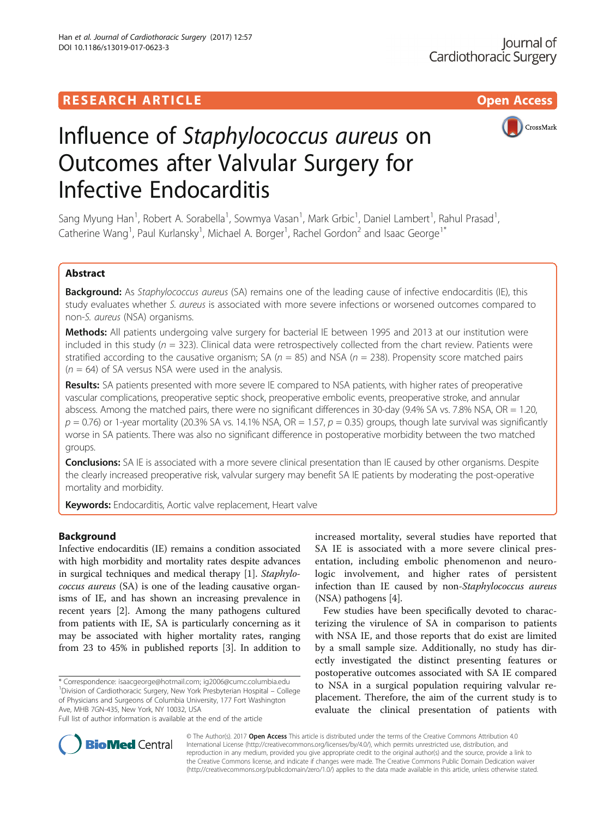

# Influence of Staphylococcus aureus on Outcomes after Valvular Surgery for Infective Endocarditis

Sang Myung Han<sup>1</sup>, Robert A. Sorabella<sup>1</sup>, Sowmya Vasan<sup>1</sup>, Mark Grbic<sup>1</sup>, Daniel Lambert<sup>1</sup>, Rahul Prasad<sup>1</sup> , Catherine Wang<sup>1</sup>, Paul Kurlansky<sup>1</sup>, Michael A. Borger<sup>1</sup>, Rachel Gordon<sup>2</sup> and Isaac George<sup>1\*</sup>

## Abstract

Background: As Staphylococcus aureus (SA) remains one of the leading cause of infective endocarditis (IE), this study evaluates whether S. aureus is associated with more severe infections or worsened outcomes compared to non-S. aureus (NSA) organisms.

Methods: All patients undergoing valve surgery for bacterial IE between 1995 and 2013 at our institution were included in this study ( $n = 323$ ). Clinical data were retrospectively collected from the chart review. Patients were stratified according to the causative organism; SA ( $n = 85$ ) and NSA ( $n = 238$ ). Propensity score matched pairs  $(n = 64)$  of SA versus NSA were used in the analysis.

Results: SA patients presented with more severe IE compared to NSA patients, with higher rates of preoperative vascular complications, preoperative septic shock, preoperative embolic events, preoperative stroke, and annular abscess. Among the matched pairs, there were no significant differences in 30-day (9.4% SA vs. 7.8% NSA, OR = 1.20,  $p = 0.76$ ) or 1-year mortality (20.3% SA vs. 14.1% NSA, OR = 1.57,  $p = 0.35$ ) groups, though late survival was significantly worse in SA patients. There was also no significant difference in postoperative morbidity between the two matched groups.

**Conclusions:** SA IE is associated with a more severe clinical presentation than IE caused by other organisms. Despite the clearly increased preoperative risk, valvular surgery may benefit SA IE patients by moderating the post-operative mortality and morbidity.

Keywords: Endocarditis, Aortic valve replacement, Heart valve

## Background

Infective endocarditis (IE) remains a condition associated with high morbidity and mortality rates despite advances in surgical techniques and medical therapy [\[1\]](#page-7-0). Staphylococcus aureus (SA) is one of the leading causative organisms of IE, and has shown an increasing prevalence in recent years [[2](#page-7-0)]. Among the many pathogens cultured from patients with IE, SA is particularly concerning as it may be associated with higher mortality rates, ranging from 23 to 45% in published reports [\[3](#page-7-0)]. In addition to

\* Correspondence: [isaacgeorge@hotmail.com](mailto:isaacgeorge@hotmail.com); [ig2006@cumc.columbia.edu](mailto:ig2006@cumc.columbia.edu) <sup>1</sup> <sup>1</sup> Division of Cardiothoracic Surgery, New York Presbyterian Hospital – College of Physicians and Surgeons of Columbia University, 177 Fort Washington Ave, MHB 7GN-435, New York, NY 10032, USA Full list of author information is available at the end of the article

increased mortality, several studies have reported that SA IE is associated with a more severe clinical presentation, including embolic phenomenon and neurologic involvement, and higher rates of persistent infection than IE caused by non-Staphylococcus aureus (NSA) pathogens [\[4](#page-7-0)].

Few studies have been specifically devoted to characterizing the virulence of SA in comparison to patients with NSA IE, and those reports that do exist are limited by a small sample size. Additionally, no study has directly investigated the distinct presenting features or postoperative outcomes associated with SA IE compared to NSA in a surgical population requiring valvular replacement. Therefore, the aim of the current study is to evaluate the clinical presentation of patients with



© The Author(s). 2017 **Open Access** This article is distributed under the terms of the Creative Commons Attribution 4.0 International License [\(http://creativecommons.org/licenses/by/4.0/](http://creativecommons.org/licenses/by/4.0/)), which permits unrestricted use, distribution, and reproduction in any medium, provided you give appropriate credit to the original author(s) and the source, provide a link to the Creative Commons license, and indicate if changes were made. The Creative Commons Public Domain Dedication waiver [\(http://creativecommons.org/publicdomain/zero/1.0/](http://creativecommons.org/publicdomain/zero/1.0/)) applies to the data made available in this article, unless otherwise stated.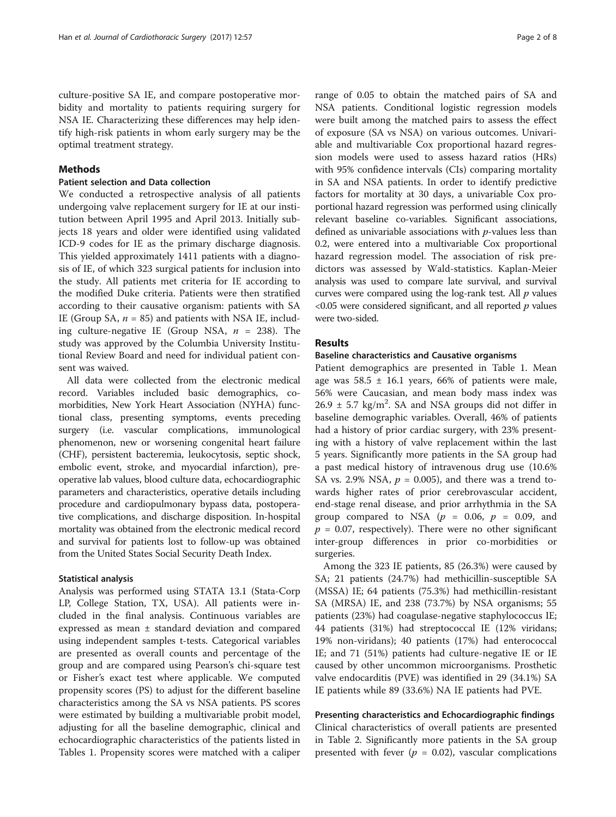culture-positive SA IE, and compare postoperative morbidity and mortality to patients requiring surgery for NSA IE. Characterizing these differences may help identify high-risk patients in whom early surgery may be the optimal treatment strategy.

## **Methods**

## Patient selection and Data collection

We conducted a retrospective analysis of all patients undergoing valve replacement surgery for IE at our institution between April 1995 and April 2013. Initially subjects 18 years and older were identified using validated ICD-9 codes for IE as the primary discharge diagnosis. This yielded approximately 1411 patients with a diagnosis of IE, of which 323 surgical patients for inclusion into the study. All patients met criteria for IE according to the modified Duke criteria. Patients were then stratified according to their causative organism: patients with SA IE (Group SA,  $n = 85$ ) and patients with NSA IE, including culture-negative IE (Group NSA,  $n = 238$ ). The study was approved by the Columbia University Institutional Review Board and need for individual patient consent was waived.

All data were collected from the electronic medical record. Variables included basic demographics, comorbidities, New York Heart Association (NYHA) functional class, presenting symptoms, events preceding surgery (i.e. vascular complications, immunological phenomenon, new or worsening congenital heart failure (CHF), persistent bacteremia, leukocytosis, septic shock, embolic event, stroke, and myocardial infarction), preoperative lab values, blood culture data, echocardiographic parameters and characteristics, operative details including procedure and cardiopulmonary bypass data, postoperative complications, and discharge disposition. In-hospital mortality was obtained from the electronic medical record and survival for patients lost to follow-up was obtained from the United States Social Security Death Index.

#### Statistical analysis

Analysis was performed using STATA 13.1 (Stata-Corp LP, College Station, TX, USA). All patients were included in the final analysis. Continuous variables are expressed as mean ± standard deviation and compared using independent samples t-tests. Categorical variables are presented as overall counts and percentage of the group and are compared using Pearson's chi-square test or Fisher's exact test where applicable. We computed propensity scores (PS) to adjust for the different baseline characteristics among the SA vs NSA patients. PS scores were estimated by building a multivariable probit model, adjusting for all the baseline demographic, clinical and echocardiographic characteristics of the patients listed in Tables [1](#page-2-0). Propensity scores were matched with a caliper

range of 0.05 to obtain the matched pairs of SA and NSA patients. Conditional logistic regression models were built among the matched pairs to assess the effect of exposure (SA vs NSA) on various outcomes. Univariable and multivariable Cox proportional hazard regression models were used to assess hazard ratios (HRs) with 95% confidence intervals (CIs) comparing mortality in SA and NSA patients. In order to identify predictive factors for mortality at 30 days, a univariable Cox proportional hazard regression was performed using clinically relevant baseline co-variables. Significant associations, defined as univariable associations with  $p$ -values less than 0.2, were entered into a multivariable Cox proportional hazard regression model. The association of risk predictors was assessed by Wald-statistics. Kaplan-Meier analysis was used to compare late survival, and survival curves were compared using the log-rank test. All  $p$  values  $<$ 0.05 were considered significant, and all reported  $p$  values were two-sided.

## Results

#### Baseline characteristics and Causative organisms

Patient demographics are presented in Table [1.](#page-2-0) Mean age was  $58.5 \pm 16.1$  years, 66% of patients were male, 56% were Caucasian, and mean body mass index was  $26.9 \pm 5.7$  kg/m<sup>2</sup>. SA and NSA groups did not differ in baseline demographic variables. Overall, 46% of patients had a history of prior cardiac surgery, with 23% presenting with a history of valve replacement within the last 5 years. Significantly more patients in the SA group had a past medical history of intravenous drug use (10.6% SA vs. 2.9% NSA,  $p = 0.005$ ), and there was a trend towards higher rates of prior cerebrovascular accident, end-stage renal disease, and prior arrhythmia in the SA group compared to NSA ( $p = 0.06$ ,  $p = 0.09$ , and  $p = 0.07$ , respectively). There were no other significant inter-group differences in prior co-morbidities or surgeries.

Among the 323 IE patients, 85 (26.3%) were caused by SA; 21 patients (24.7%) had methicillin-susceptible SA (MSSA) IE; 64 patients (75.3%) had methicillin-resistant SA (MRSA) IE, and 238 (73.7%) by NSA organisms; 55 patients (23%) had coagulase-negative staphylococcus IE; 44 patients (31%) had streptococcal IE (12% viridans; 19% non-viridans); 40 patients (17%) had enterococcal IE; and 71 (51%) patients had culture-negative IE or IE caused by other uncommon microorganisms. Prosthetic valve endocarditis (PVE) was identified in 29 (34.1%) SA IE patients while 89 (33.6%) NA IE patients had PVE.

Presenting characteristics and Echocardiographic findings Clinical characteristics of overall patients are presented in Table [2.](#page-3-0) Significantly more patients in the SA group presented with fever ( $p = 0.02$ ), vascular complications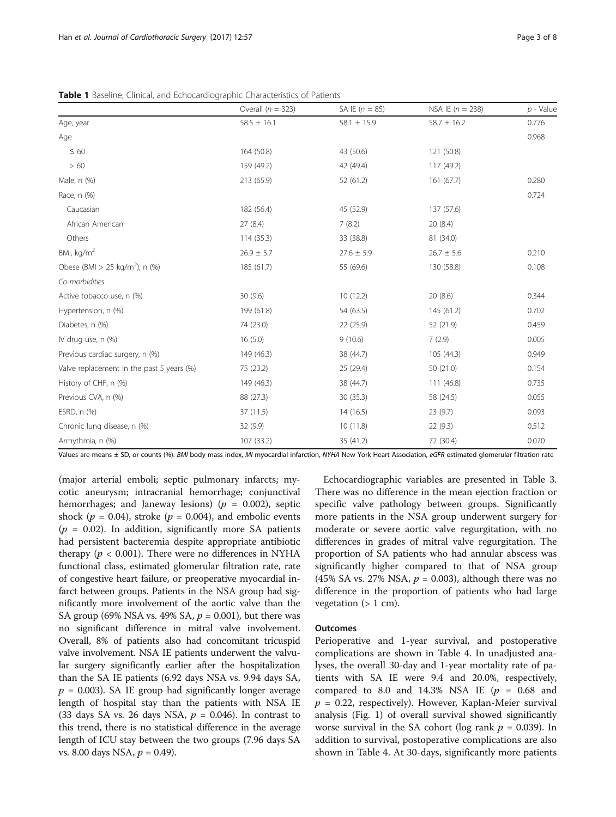|                                            | Overall $(n = 323)$ | SA IE $(n = 85)$ | NSA IE $(n = 238)$ | $p$ - Value |
|--------------------------------------------|---------------------|------------------|--------------------|-------------|
| Age, year                                  | $58.5 \pm 16.1$     | $58.1 \pm 15.9$  | $58.7 \pm 16.2$    | 0.776       |
| Age                                        |                     |                  |                    | 0.968       |
| $\leq 60$                                  | 164 (50.8)          | 43 (50.6)        | 121 (50.8)         |             |
| >60                                        | 159 (49.2)          | 42 (49.4)        | 117 (49.2)         |             |
| Male, n (%)                                | 213 (65.9)          | 52 (61.2)        | 161(67.7)          | 0.280       |
| Race, n (%)                                |                     |                  |                    | 0.724       |
| Caucasian                                  | 182 (56.4)          | 45 (52.9)        | 137 (57.6)         |             |
| African American                           | 27(8.4)             | 7(8.2)           | 20(8.4)            |             |
| Others                                     | 114(35.3)           | 33 (38.8)        | 81 (34.0)          |             |
| BMI, $kg/m2$                               | $26.9 \pm 5.7$      | $27.6 \pm 5.9$   | $26.7 \pm 5.6$     | 0.210       |
| Obese (BMI > 25 kg/m <sup>2</sup> ), n (%) | 185 (61.7)          | 55 (69.6)        | 130 (58.8)         | 0.108       |
| Co-morbidities                             |                     |                  |                    |             |
| Active tobacco use, n (%)                  | 30(9.6)             | 10(12.2)         | 20(8.6)            | 0.344       |
| Hypertension, n (%)                        | 199 (61.8)          | 54 (63.5)        | 145 (61.2)         | 0.702       |
| Diabetes, n (%)                            | 74 (23.0)           | 22 (25.9)        | 52 (21.9)          | 0.459       |
| IV drug use, n (%)                         | 16(5.0)             | 9(10.6)          | 7(2.9)             | 0.005       |
| Previous cardiac surgery, n (%)            | 149 (46.3)          | 38 (44.7)        | 105 (44.3)         | 0.949       |
| Valve replacement in the past 5 years (%)  | 75 (23.2)           | 25 (29.4)        | 50 (21.0)          | 0.154       |
| History of CHF, n (%)                      | 149 (46.3)          | 38 (44.7)        | 111 (46.8)         | 0.735       |
| Previous CVA, n (%)                        | 88 (27.3)           | 30 (35.3)        | 58 (24.5)          | 0.055       |
| ESRD, n (%)                                | 37 (11.5)           | 14(16.5)         | 23(9.7)            | 0.093       |
| Chronic lung disease, n (%)                | 32 (9.9)            | 10(11.8)         | 22(9.3)            | 0.512       |
| Arrhythmia, n (%)                          | 107 (33.2)          | 35 (41.2)        | 72 (30.4)          | 0.070       |

<span id="page-2-0"></span>Table 1 Baseline, Clinical, and Echocardiographic Characteristics of Patients

Values are means ± SD, or counts (%). BMI body mass index, MI myocardial infarction, NYHA New York Heart Association, eGFR estimated glomerular filtration rate

(major arterial emboli; septic pulmonary infarcts; mycotic aneurysm; intracranial hemorrhage; conjunctival hemorrhages; and Janeway lesions) ( $p = 0.002$ ), septic shock ( $p = 0.04$ ), stroke ( $p = 0.004$ ), and embolic events  $(p = 0.02)$ . In addition, significantly more SA patients had persistent bacteremia despite appropriate antibiotic therapy ( $p < 0.001$ ). There were no differences in NYHA functional class, estimated glomerular filtration rate, rate of congestive heart failure, or preoperative myocardial infarct between groups. Patients in the NSA group had significantly more involvement of the aortic valve than the SA group (69% NSA vs. 49% SA,  $p = 0.001$ ), but there was no significant difference in mitral valve involvement. Overall, 8% of patients also had concomitant tricuspid valve involvement. NSA IE patients underwent the valvular surgery significantly earlier after the hospitalization than the SA IE patients (6.92 days NSA vs. 9.94 days SA,  $p = 0.003$ ). SA IE group had significantly longer average length of hospital stay than the patients with NSA IE (33 days SA vs. 26 days NSA,  $p = 0.046$ ). In contrast to this trend, there is no statistical difference in the average length of ICU stay between the two groups (7.96 days SA vs. 8.00 days NSA,  $p = 0.49$ .

Echocardiographic variables are presented in Table [3](#page-4-0). There was no difference in the mean ejection fraction or specific valve pathology between groups. Significantly more patients in the NSA group underwent surgery for moderate or severe aortic valve regurgitation, with no differences in grades of mitral valve regurgitation. The proportion of SA patients who had annular abscess was significantly higher compared to that of NSA group (45% SA vs. 27% NSA,  $p = 0.003$ ), although there was no difference in the proportion of patients who had large vegetation  $(> 1 \text{ cm})$ .

#### **Outcomes**

Perioperative and 1-year survival, and postoperative complications are shown in Table [4](#page-4-0). In unadjusted analyses, the overall 30-day and 1-year mortality rate of patients with SA IE were 9.4 and 20.0%, respectively, compared to 8.0 and 14.3% NSA IE  $(p = 0.68$  and  $p = 0.22$ , respectively). However, Kaplan-Meier survival analysis (Fig. [1](#page-5-0)) of overall survival showed significantly worse survival in the SA cohort (log rank  $p = 0.039$ ). In addition to survival, postoperative complications are also shown in Table [4](#page-4-0). At 30-days, significantly more patients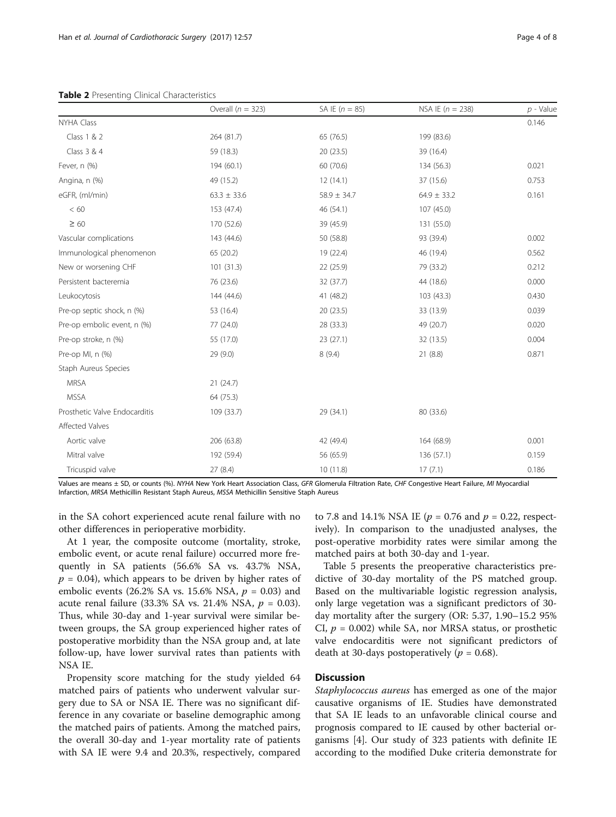|                               | Overall $(n = 323)$ | SA IE $(n = 85)$ | NSA IE $(n = 238)$ | $p$ - Value |
|-------------------------------|---------------------|------------------|--------------------|-------------|
| NYHA Class                    |                     |                  |                    | 0.146       |
| Class 1 & 2                   | 264 (81.7)          | 65 (76.5)        | 199 (83.6)         |             |
| Class 3 & 4                   | 59 (18.3)           | 20 (23.5)        | 39 (16.4)          |             |
| Fever, n (%)                  | 194 (60.1)          | 60 (70.6)        | 134 (56.3)         | 0.021       |
| Angina, n (%)                 | 49 (15.2)           | 12(14.1)         | 37 (15.6)          | 0.753       |
| eGFR, (ml/min)                | $63.3 \pm 33.6$     | $58.9 \pm 34.7$  | $64.9 \pm 33.2$    | 0.161       |
| < 60                          | 153 (47.4)          | 46 (54.1)        | 107 (45.0)         |             |
| $\geq 60$                     | 170 (52.6)          | 39 (45.9)        | 131 (55.0)         |             |
| Vascular complications        | 143 (44.6)          | 50 (58.8)        | 93 (39.4)          | 0.002       |
| Immunological phenomenon      | 65 (20.2)           | 19 (22.4)        | 46 (19.4)          | 0.562       |
| New or worsening CHF          | 101(31.3)           | 22 (25.9)        | 79 (33.2)          | 0.212       |
| Persistent bacteremia         | 76 (23.6)           | 32 (37.7)        | 44 (18.6)          | 0.000       |
| Leukocytosis                  | 144 (44.6)          | 41 (48.2)        | 103 (43.3)         | 0.430       |
| Pre-op septic shock, n (%)    | 53 (16.4)           | 20 (23.5)        | 33 (13.9)          | 0.039       |
| Pre-op embolic event, n (%)   | 77 (24.0)           | 28 (33.3)        | 49 (20.7)          | 0.020       |
| Pre-op stroke, n (%)          | 55 (17.0)           | 23(27.1)         | 32 (13.5)          | 0.004       |
| Pre-op MI, n (%)              | 29 (9.0)            | 8(9.4)           | 21(8.8)            | 0.871       |
| Staph Aureus Species          |                     |                  |                    |             |
| <b>MRSA</b>                   | 21(24.7)            |                  |                    |             |
| <b>MSSA</b>                   | 64 (75.3)           |                  |                    |             |
| Prosthetic Valve Endocarditis | 109 (33.7)          | 29 (34.1)        | 80 (33.6)          |             |
| Affected Valves               |                     |                  |                    |             |
| Aortic valve                  | 206 (63.8)          | 42 (49.4)        | 164 (68.9)         | 0.001       |
| Mitral valve                  | 192 (59.4)          | 56 (65.9)        | 136 (57.1)         | 0.159       |
| Tricuspid valve               | 27(8.4)             | 10(11.8)         | 17(7.1)            | 0.186       |

<span id="page-3-0"></span>

Values are means ± SD, or counts (%). NYHA New York Heart Association Class, GFR Glomerula Filtration Rate, CHF Congestive Heart Failure, MI Myocardial Infarction, MRSA Methicillin Resistant Staph Aureus, MSSA Methicillin Sensitive Staph Aureus

in the SA cohort experienced acute renal failure with no other differences in perioperative morbidity.

At 1 year, the composite outcome (mortality, stroke, embolic event, or acute renal failure) occurred more frequently in SA patients (56.6% SA vs. 43.7% NSA,  $p = 0.04$ ), which appears to be driven by higher rates of embolic events (26.2% SA vs. 15.6% NSA,  $p = 0.03$ ) and acute renal failure (33.3% SA vs. 21.4% NSA,  $p = 0.03$ ). Thus, while 30-day and 1-year survival were similar between groups, the SA group experienced higher rates of postoperative morbidity than the NSA group and, at late follow-up, have lower survival rates than patients with NSA IE.

Propensity score matching for the study yielded 64 matched pairs of patients who underwent valvular surgery due to SA or NSA IE. There was no significant difference in any covariate or baseline demographic among the matched pairs of patients. Among the matched pairs, the overall 30-day and 1-year mortality rate of patients with SA IE were 9.4 and 20.3%, respectively, compared to 7.8 and 14.1% NSA IE ( $p = 0.76$  and  $p = 0.22$ , respectively). In comparison to the unadjusted analyses, the post-operative morbidity rates were similar among the matched pairs at both 30-day and 1-year.

Table [5](#page-5-0) presents the preoperative characteristics predictive of 30-day mortality of the PS matched group. Based on the multivariable logistic regression analysis, only large vegetation was a significant predictors of 30 day mortality after the surgery (OR: 5.37, 1.90–15.2 95% CI,  $p = 0.002$ ) while SA, nor MRSA status, or prosthetic valve endocarditis were not significant predictors of death at 30-days postoperatively ( $p = 0.68$ ).

## **Discussion**

Staphylococcus aureus has emerged as one of the major causative organisms of IE. Studies have demonstrated that SA IE leads to an unfavorable clinical course and prognosis compared to IE caused by other bacterial organisms [[4\]](#page-7-0). Our study of 323 patients with definite IE according to the modified Duke criteria demonstrate for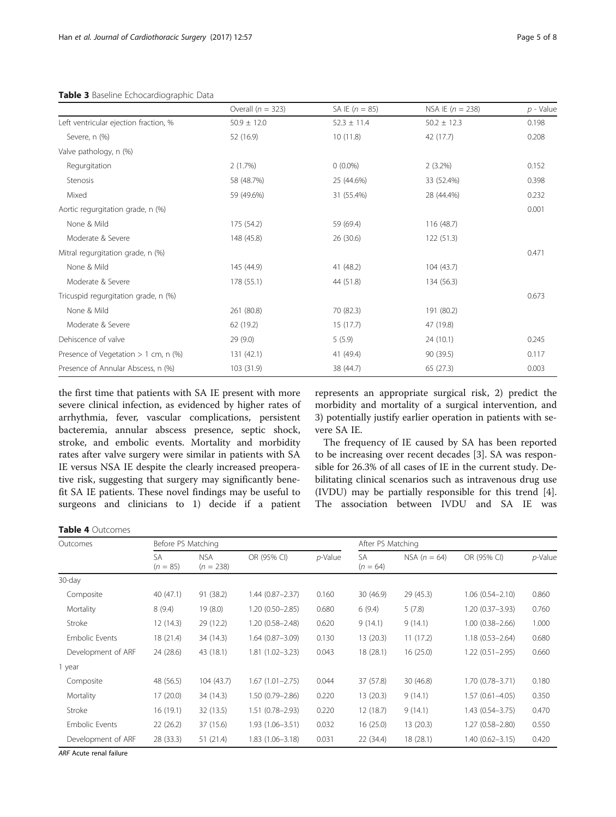## <span id="page-4-0"></span>Table 3 Baseline Echocardiographic Data

|                                        | Overall $(n = 323)$ | SA IE $(n = 85)$ | NSA IE $(n = 238)$ | $p$ - Value |
|----------------------------------------|---------------------|------------------|--------------------|-------------|
| Left ventricular ejection fraction, %  | $50.9 \pm 12.0$     | $52.3 \pm 11.4$  | $50.2 \pm 12.3$    | 0.198       |
| Severe, n (%)                          | 52 (16.9)           | 10(11.8)         | 42 (17.7)          | 0.208       |
| Valve pathology, n (%)                 |                     |                  |                    |             |
| Regurgitation                          | 2(1.7%)             | $0(0.0\%)$       | $2(3.2\%)$         | 0.152       |
| Stenosis                               | 58 (48.7%)          | 25 (44.6%)       | 33 (52.4%)         | 0.398       |
| Mixed                                  | 59 (49.6%)          | 31 (55.4%)       | 28 (44.4%)         | 0.232       |
| Aortic regurgitation grade, n (%)      |                     |                  |                    | 0.001       |
| None & Mild                            | 175 (54.2)          | 59 (69.4)        | 116(48.7)          |             |
| Moderate & Severe                      | 148 (45.8)          | 26 (30.6)        | 122 (51.3)         |             |
| Mitral regurgitation grade, n (%)      |                     |                  |                    | 0.471       |
| None & Mild                            | 145 (44.9)          | 41 (48.2)        | 104 (43.7)         |             |
| Moderate & Severe                      | 178 (55.1)          | 44 (51.8)        | 134 (56.3)         |             |
| Tricuspid regurgitation grade, n (%)   |                     |                  |                    | 0.673       |
| None & Mild                            | 261 (80.8)          | 70 (82.3)        | 191 (80.2)         |             |
| Moderate & Severe                      | 62 (19.2)           | 15(17.7)         | 47 (19.8)          |             |
| Dehiscence of valve                    | 29(9.0)             | 5(5.9)           | 24(10.1)           | 0.245       |
| Presence of Vegetation $> 1$ cm, n (%) | 131(42.1)           | 41 (49.4)        | 90 (39.5)          | 0.117       |
| Presence of Annular Abscess, n (%)     | 103 (31.9)          | 38 (44.7)        | 65 (27.3)          | 0.003       |

the first time that patients with SA IE present with more severe clinical infection, as evidenced by higher rates of arrhythmia, fever, vascular complications, persistent bacteremia, annular abscess presence, septic shock, stroke, and embolic events. Mortality and morbidity rates after valve surgery were similar in patients with SA IE versus NSA IE despite the clearly increased preoperative risk, suggesting that surgery may significantly benefit SA IE patients. These novel findings may be useful to surgeons and clinicians to 1) decide if a patient

represents an appropriate surgical risk, 2) predict the morbidity and mortality of a surgical intervention, and 3) potentially justify earlier operation in patients with severe SA IE.

The frequency of IE caused by SA has been reported to be increasing over recent decades [[3\]](#page-7-0). SA was responsible for 26.3% of all cases of IE in the current study. Debilitating clinical scenarios such as intravenous drug use (IVDU) may be partially responsible for this trend [\[4](#page-7-0)]. The association between IVDU and SA IE was

## Table 4 Outcomes

| Outcomes              | Before PS Matching      |                           |                     |            | After PS Matching |                |                     |            |
|-----------------------|-------------------------|---------------------------|---------------------|------------|-------------------|----------------|---------------------|------------|
|                       | <b>SA</b><br>$(n = 85)$ | <b>NSA</b><br>$(n = 238)$ | OR (95% CI)         | $p$ -Value | SA<br>$(n = 64)$  | NSA $(n = 64)$ | OR (95% CI)         | $p$ -Value |
| 30-day                |                         |                           |                     |            |                   |                |                     |            |
| Composite             | 40(47.1)                | 91 (38.2)                 | 1.44 (0.87-2.37)    | 0.160      | 30 (46.9)         | 29 (45.3)      | $1.06(0.54 - 2.10)$ | 0.860      |
| Mortality             | 8(9.4)                  | 19(8.0)                   | 1.20 (0.50-2.85)    | 0.680      | 6(9.4)            | 5(7.8)         | $1.20(0.37 - 3.93)$ | 0.760      |
| Stroke                | 12 (14.3)               | 29 (12.2)                 | 1.20 (0.58-2.48)    | 0.620      | 9(14.1)           | 9(14.1)        | $1.00(0.38 - 2.66)$ | 1.000      |
| <b>Embolic Events</b> | 18(21.4)                | 34 (14.3)                 | $1.64(0.87 - 3.09)$ | 0.130      | 13 (20.3)         | 11(17.2)       | $1.18(0.53 - 2.64)$ | 0.680      |
| Development of ARF    | 24 (28.6)               | 43 (18.1)                 | 1.81 (1.02-3.23)    | 0.043      | 18 (28.1)         | 16(25.0)       | $1.22(0.51 - 2.95)$ | 0.660      |
| 1 year                |                         |                           |                     |            |                   |                |                     |            |
| Composite             | 48 (56.5)               | 104(43.7)                 | $1.67(1.01 - 2.75)$ | 0.044      | 37 (57.8)         | 30 (46.8)      | $1.70(0.78 - 3.71)$ | 0.180      |
| Mortality             | 17(20.0)                | 34 (14.3)                 | 1.50 (0.79-2.86)    | 0.220      | 13 (20.3)         | 9(14.1)        | $1.57(0.61 - 4.05)$ | 0.350      |
| Stroke                | 16(19.1)                | 32 (13.5)                 | $1.51(0.78 - 2.93)$ | 0.220      | 12 (18.7)         | 9(14.1)        | $1.43(0.54 - 3.75)$ | 0.470      |
| <b>Embolic Events</b> | 22(26.2)                | 37 (15.6)                 | 1.93 (1.06-3.51)    | 0.032      | 16(25.0)          | 13 (20.3)      | 1.27 (0.58-2.80)    | 0.550      |
| Development of ARF    | 28 (33.3)               | 51 (21.4)                 | $1.83(1.06 - 3.18)$ | 0.031      | 22 (34.4)         | 18(28.1)       | $1.40(0.62 - 3.15)$ | 0.420      |

ARF Acute renal failure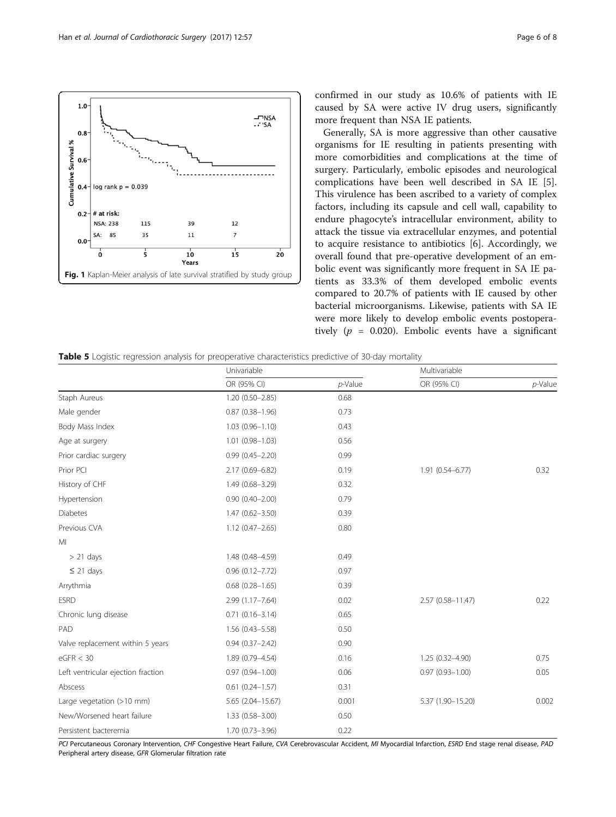<span id="page-5-0"></span>

confirmed in our study as 10.6% of patients with IE caused by SA were active IV drug users, significantly more frequent than NSA IE patients.

Generally, SA is more aggressive than other causative organisms for IE resulting in patients presenting with more comorbidities and complications at the time of surgery. Particularly, embolic episodes and neurological complications have been well described in SA IE [\[5](#page-7-0)]. This virulence has been ascribed to a variety of complex factors, including its capsule and cell wall, capability to endure phagocyte's intracellular environment, ability to attack the tissue via extracellular enzymes, and potential to acquire resistance to antibiotics [\[6](#page-7-0)]. Accordingly, we overall found that pre-operative development of an embolic event was significantly more frequent in SA IE patients as 33.3% of them developed embolic events compared to 20.7% of patients with IE caused by other bacterial microorganisms. Likewise, patients with SA IE were more likely to develop embolic events postoperatively ( $p = 0.020$ ). Embolic events have a significant

|  |  |  | <b>Table 5</b> Logistic regression analysis for preoperative characteristics predictive of 30-day mortality |
|--|--|--|-------------------------------------------------------------------------------------------------------------|
|  |  |  |                                                                                                             |

|                                    | Univariable         |            | Multivariable       |         |
|------------------------------------|---------------------|------------|---------------------|---------|
|                                    | OR (95% CI)         | $p$ -Value | OR (95% CI)         | p-Value |
| Staph Aureus                       | $1.20(0.50 - 2.85)$ | 0.68       |                     |         |
| Male gender                        | $0.87(0.38 - 1.96)$ | 0.73       |                     |         |
| Body Mass Index                    | $1.03(0.96 - 1.10)$ | 0.43       |                     |         |
| Age at surgery                     | $1.01(0.98 - 1.03)$ | 0.56       |                     |         |
| Prior cardiac surgery              | $0.99(0.45 - 2.20)$ | 0.99       |                     |         |
| Prior PCI                          | 2.17 (0.69-6.82)    | 0.19       | $1.91(0.54 - 6.77)$ | 0.32    |
| History of CHF                     | $1.49(0.68 - 3.29)$ | 0.32       |                     |         |
| Hypertension                       | $0.90(0.40 - 2.00)$ | 0.79       |                     |         |
| <b>Diabetes</b>                    | $1.47(0.62 - 3.50)$ | 0.39       |                     |         |
| Previous CVA                       | $1.12(0.47 - 2.65)$ | 0.80       |                     |         |
| MI                                 |                     |            |                     |         |
| $> 21$ days                        | 1.48 (0.48-4.59)    | 0.49       |                     |         |
| $\leq$ 21 days                     | $0.96(0.12 - 7.72)$ | 0.97       |                     |         |
| Arrythmia                          | $0.68$ (0.28-1.65)  | 0.39       |                     |         |
| <b>ESRD</b>                        | 2.99 (1.17-7.64)    | 0.02       | 2.57 (0.58-11.47)   | 0.22    |
| Chronic lung disease               | $0.71(0.16 - 3.14)$ | 0.65       |                     |         |
| PAD                                | $1.56(0.43 - 5.58)$ | 0.50       |                     |         |
| Valve replacement within 5 years   | $0.94(0.37 - 2.42)$ | 0.90       |                     |         |
| eGFR < 30                          | 1.89 (0.79-4.54)    | 0.16       | $1.25(0.32 - 4.90)$ | 0.75    |
| Left ventricular ejection fraction | $0.97(0.94 - 1.00)$ | 0.06       | $0.97(0.93 - 1.00)$ | 0.05    |
| Abscess                            | $0.61(0.24 - 1.57)$ | 0.31       |                     |         |
| Large vegetation (>10 mm)          | 5.65 (2.04-15.67)   | 0.001      | 5.37 (1.90-15.20)   | 0.002   |
| New/Worsened heart failure         | 1.33 (0.58-3.00)    | 0.50       |                     |         |
| Persistent bacteremia              | 1.70 (0.73-3.96)    | 0.22       |                     |         |

PCI Percutaneous Coronary Intervention, CHF Congestive Heart Failure, CVA Cerebrovascular Accident, MI Myocardial Infarction, ESRD End stage renal disease, PAD Peripheral artery disease, GFR Glomerular filtration rate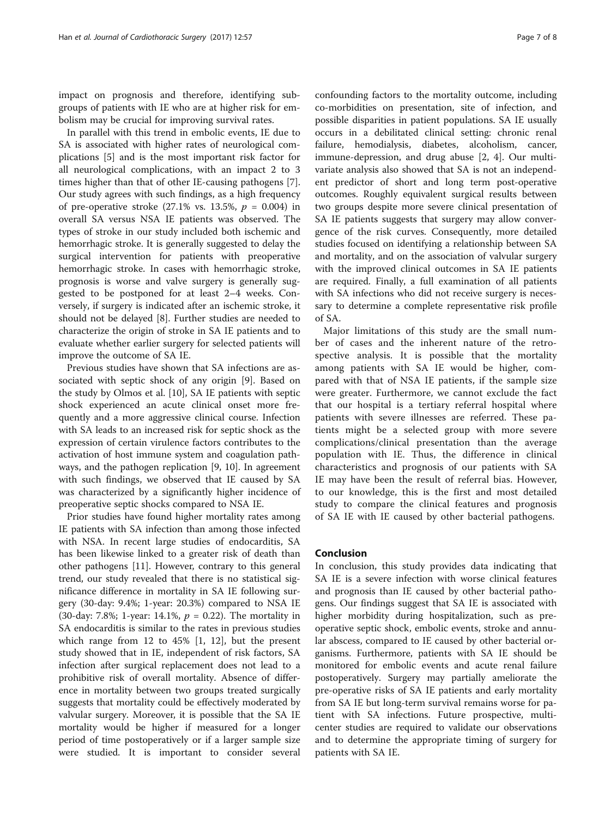impact on prognosis and therefore, identifying subgroups of patients with IE who are at higher risk for embolism may be crucial for improving survival rates.

In parallel with this trend in embolic events, IE due to SA is associated with higher rates of neurological complications [\[5](#page-7-0)] and is the most important risk factor for all neurological complications, with an impact 2 to 3 times higher than that of other IE-causing pathogens [\[7](#page-7-0)]. Our study agrees with such findings, as a high frequency of pre-operative stroke  $(27.1\% \text{ vs. } 13.5\%, p = 0.004)$  in overall SA versus NSA IE patients was observed. The types of stroke in our study included both ischemic and hemorrhagic stroke. It is generally suggested to delay the surgical intervention for patients with preoperative hemorrhagic stroke. In cases with hemorrhagic stroke, prognosis is worse and valve surgery is generally suggested to be postponed for at least 2–4 weeks. Conversely, if surgery is indicated after an ischemic stroke, it should not be delayed [[8](#page-7-0)]. Further studies are needed to characterize the origin of stroke in SA IE patients and to evaluate whether earlier surgery for selected patients will improve the outcome of SA IE.

Previous studies have shown that SA infections are associated with septic shock of any origin [[9\]](#page-7-0). Based on the study by Olmos et al. [\[10\]](#page-7-0), SA IE patients with septic shock experienced an acute clinical onset more frequently and a more aggressive clinical course. Infection with SA leads to an increased risk for septic shock as the expression of certain virulence factors contributes to the activation of host immune system and coagulation pathways, and the pathogen replication [\[9, 10](#page-7-0)]. In agreement with such findings, we observed that IE caused by SA was characterized by a significantly higher incidence of preoperative septic shocks compared to NSA IE.

Prior studies have found higher mortality rates among IE patients with SA infection than among those infected with NSA. In recent large studies of endocarditis, SA has been likewise linked to a greater risk of death than other pathogens [[11\]](#page-7-0). However, contrary to this general trend, our study revealed that there is no statistical significance difference in mortality in SA IE following surgery (30-day: 9.4%; 1-year: 20.3%) compared to NSA IE (30-day: 7.8%; 1-year: 14.1%,  $p = 0.22$ ). The mortality in SA endocarditis is similar to the rates in previous studies which range from 12 to 45% [[1, 12\]](#page-7-0), but the present study showed that in IE, independent of risk factors, SA infection after surgical replacement does not lead to a prohibitive risk of overall mortality. Absence of difference in mortality between two groups treated surgically suggests that mortality could be effectively moderated by valvular surgery. Moreover, it is possible that the SA IE mortality would be higher if measured for a longer period of time postoperatively or if a larger sample size were studied. It is important to consider several

confounding factors to the mortality outcome, including co-morbidities on presentation, site of infection, and possible disparities in patient populations. SA IE usually occurs in a debilitated clinical setting: chronic renal failure, hemodialysis, diabetes, alcoholism, cancer, immune-depression, and drug abuse [[2, 4](#page-7-0)]. Our multivariate analysis also showed that SA is not an independent predictor of short and long term post-operative outcomes. Roughly equivalent surgical results between two groups despite more severe clinical presentation of SA IE patients suggests that surgery may allow convergence of the risk curves. Consequently, more detailed studies focused on identifying a relationship between SA and mortality, and on the association of valvular surgery with the improved clinical outcomes in SA IE patients are required. Finally, a full examination of all patients with SA infections who did not receive surgery is necessary to determine a complete representative risk profile of SA.

Major limitations of this study are the small number of cases and the inherent nature of the retrospective analysis. It is possible that the mortality among patients with SA IE would be higher, compared with that of NSA IE patients, if the sample size were greater. Furthermore, we cannot exclude the fact that our hospital is a tertiary referral hospital where patients with severe illnesses are referred. These patients might be a selected group with more severe complications/clinical presentation than the average population with IE. Thus, the difference in clinical characteristics and prognosis of our patients with SA IE may have been the result of referral bias. However, to our knowledge, this is the first and most detailed study to compare the clinical features and prognosis of SA IE with IE caused by other bacterial pathogens.

## Conclusion

In conclusion, this study provides data indicating that SA IE is a severe infection with worse clinical features and prognosis than IE caused by other bacterial pathogens. Our findings suggest that SA IE is associated with higher morbidity during hospitalization, such as preoperative septic shock, embolic events, stroke and annular abscess, compared to IE caused by other bacterial organisms. Furthermore, patients with SA IE should be monitored for embolic events and acute renal failure postoperatively. Surgery may partially ameliorate the pre-operative risks of SA IE patients and early mortality from SA IE but long-term survival remains worse for patient with SA infections. Future prospective, multicenter studies are required to validate our observations and to determine the appropriate timing of surgery for patients with SA IE.